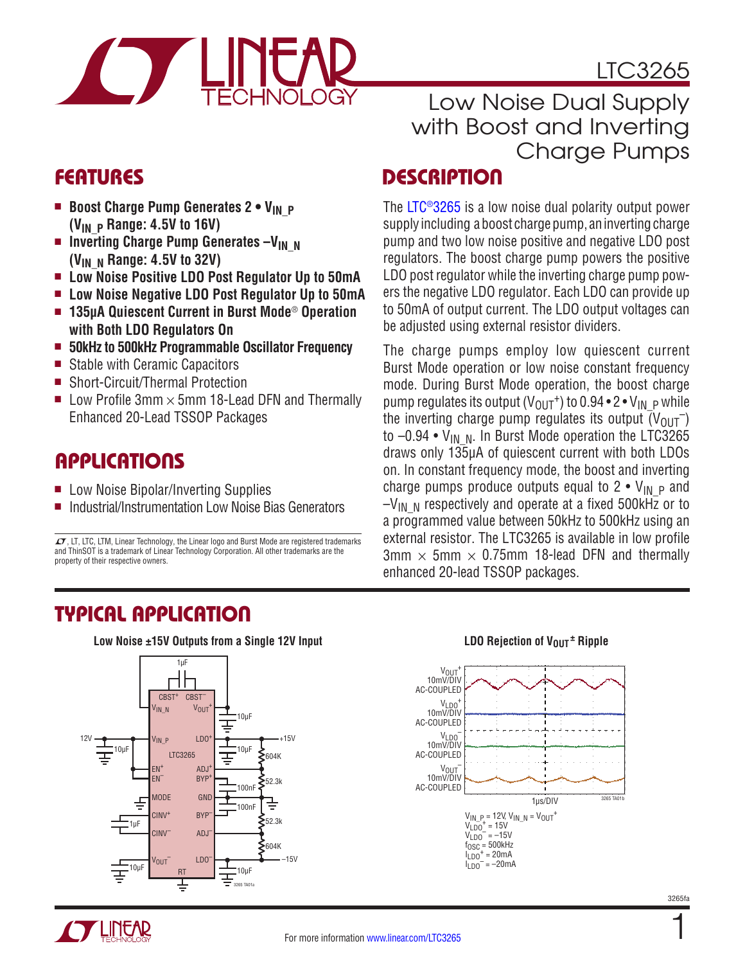

# LTC3265

# Low Noise Dual Supply with Boost and Inverting Charge Pumps

# FEATURES DESCRIPTION

The [LTC®3265](http://www.linear.com/LTC3265) is a low noise dual polarity output power supply including a boost charge pump, an inverting charge pump and two low noise positive and negative LDO post regulators. The boost charge pump powers the positive LDO post regulator while the inverting charge pump powers the negative LDO regulator. Each LDO can provide up to 50mA of output current. The LDO output voltages can be adjusted using external resistor dividers.

The charge pumps employ low quiescent current Burst Mode operation or low noise constant frequency mode. During Burst Mode operation, the boost charge pump regulates its output  $(V_{OUT}^+)$  to 0.94 • 2 •  $V_{IN}$  p while the inverting charge pump regulates its output  $(V_{OUT})$ to  $-0.94 \cdot V_{IN-N}$ . In Burst Mode operation the LTC3265 draws only 135µA of quiescent current with both LDOs on. In constant frequency mode, the boost and inverting charge pumps produce outputs equal to  $2 \cdot V_{IN}$  p and  $-V_{IN-N}$  respectively and operate at a fixed 500kHz or to a programmed value between 50kHz to 500kHz using an external resistor. The LTC3265 is available in low profile  $3mm \times 5mm \times 0.75mm$  18-lead DFN and thermally enhanced 20-lead TSSOP packages.

- **E** Boost Charge Pump Generates 2 V<sub>IN</sub> P **(VIN\_P Range: 4.5V to 16V)**
- **n** Inverting Charge Pump Generates -V<sub>IN N</sub> **(VIN\_N Range: 4.5V to 32V)**
- Low Noise Positive LDO Post Regulator Up to 50mA
- <sup>n</sup> **Low Noise Negative LDO Post Regulator Up to 50mA**
- 135µA Quiescent Current in Burst Mode<sup>®</sup> Operation **with Both LDO Regulators On**
- <sup>n</sup> **50kHz to 500kHz Programmable Oscillator Frequency**
- Stable with Ceramic Capacitors
- Short-Circuit/Thermal Protection
- Low Profile 3mm  $\times$  5mm 18-Lead DFN and Thermally Enhanced 20-Lead TSSOP Packages

# APPLICATIONS

- Low Noise Bipolar/Inverting Supplies
- **n** Industrial/Instrumentation Low Noise Bias Generators

 $\Gamma$ , LT, LTC, LTM, Linear Technology, the Linear logo and Burst Mode are registered trademarks and ThinSOT is a trademark of Linear Technology Corporation. All other trademarks are the property of their respective owners.

# TYPICAL APPLICATION

**Low Noise ±15V Outputs from a Single 12V Input <b>Let up and Server LDO Rejection of V<sub>OUT</sub>**  $\pm$  **Ripple** 



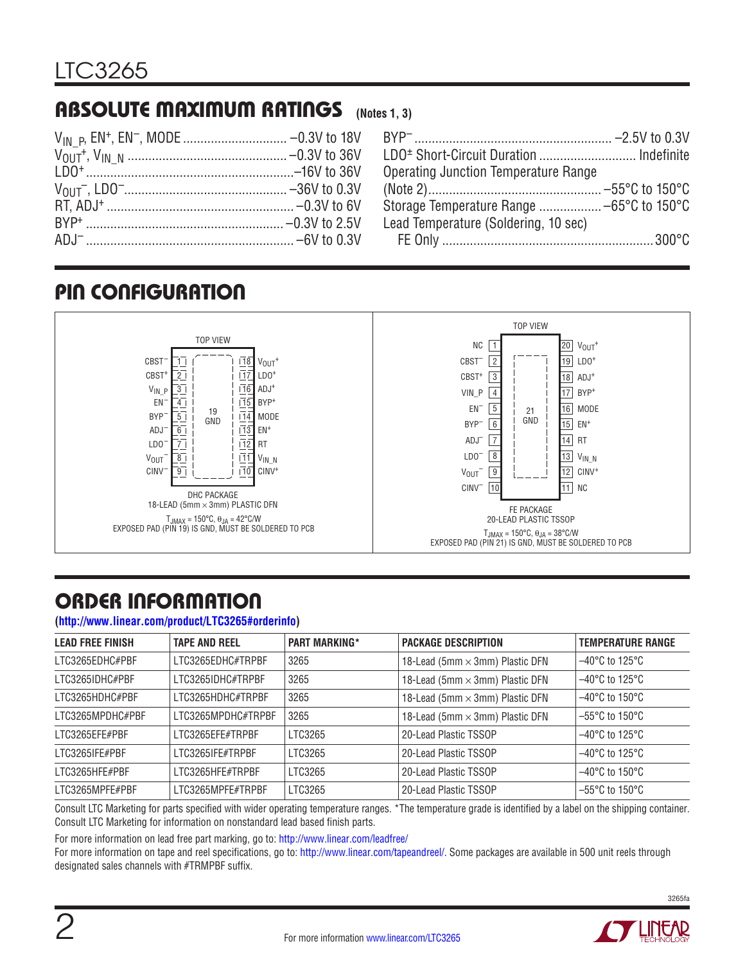#### ABSOLUTE MAXIMUM RATINGS **(Notes 1, 3)**

| LDO <sup>+</sup> Short-Circuit Duration  Indefinite |  |
|-----------------------------------------------------|--|
| <b>Operating Junction Temperature Range</b>         |  |
|                                                     |  |
|                                                     |  |
| Lead Temperature (Soldering, 10 sec)                |  |
|                                                     |  |

# PIN CONFIGURATION



# ORDER INFORMATION

**[\(http://www.linear.com/product/LTC3265#orderinfo](http://www.linear.com/product/LTC3265#orderinfo))**

| <b>LEAD FREE FINISH</b> | <b>TAPE AND REEL</b> | <b>PART MARKING*</b> | <b>PACKAGE DESCRIPTION</b>      | <b>TEMPERATURE RANGE</b>            |
|-------------------------|----------------------|----------------------|---------------------------------|-------------------------------------|
| LTC3265EDHC#PBF         | LTC3265EDHC#TRPBF    | 3265                 | 18-Lead (5mm × 3mm) Plastic DFN | $-40^{\circ}$ C to 125 $^{\circ}$ C |
| LTC3265IDHC#PBF         | LTC3265IDHC#TRPBF    | 3265                 | 18-Lead (5mm × 3mm) Plastic DFN | $-40^{\circ}$ C to 125 $^{\circ}$ C |
| LTC3265HDHC#PBF         | LTC3265HDHC#TRPBF    | 3265                 | 18-Lead (5mm × 3mm) Plastic DFN | $-40^{\circ}$ C to 150 $^{\circ}$ C |
| LTC3265MPDHC#PBF        | LTC3265MPDHC#TRPBF   | 3265                 | 18-Lead (5mm × 3mm) Plastic DFN | $-55^{\circ}$ C to 150 $^{\circ}$ C |
| LTC3265EFE#PBF          | LTC3265EFE#TRPBF     | LTC3265              | 20-Lead Plastic TSSOP           | $-40^{\circ}$ C to 125 $^{\circ}$ C |
| LTC3265IFE#PBF          | LTC3265IFE#TRPBF     | LTC3265              | 20-Lead Plastic TSSOP           | $-40^{\circ}$ C to 125 $^{\circ}$ C |
| LTC3265HFE#PBF          | LTC3265HFE#TRPBF     | LTC3265              | 20-Lead Plastic TSSOP           | $-40^{\circ}$ C to 150 $^{\circ}$ C |
| LTC3265MPFE#PBF         | LTC3265MPFE#TRPBF    | LTC3265              | 20-Lead Plastic TSSOP           | $-55^{\circ}$ C to 150 $^{\circ}$ C |

Consult LTC Marketing for parts specified with wider operating temperature ranges. \*The temperature grade is identified by a label on the shipping container. Consult LTC Marketing for information on nonstandard lead based finish parts.

For more information on lead free part marking, go to:<http://www.linear.com/leadfree/>

For more information on tape and reel specifications, go to: <http://www.linear.com/tapeandreel/>. Some packages are available in 500 unit reels through designated sales channels with #TRMPBF suffix.

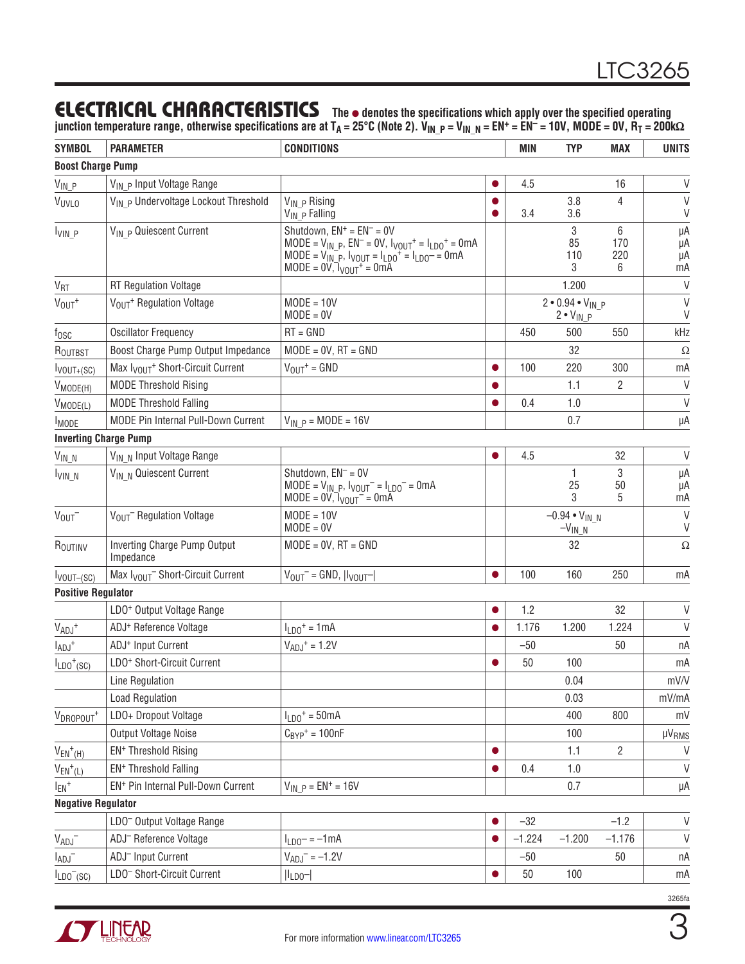### ELECTRICAL CHARACTERISTICS **The** <sup>l</sup> **denotes the specifications which apply over the specified operating**

**junction temperature range, otherwise specifications are at TA = 25°C (Note 2). VIN\_P = VIN\_N = EN+ = EN– = 10V, MODE = 0V, RT = 200kΩ**

| <b>SYMBOL</b>                           | <b>PARAMETER</b>                                         | <b>CONDITIONS</b>                                                                                                                                                                                                |           | MIN                                   | <b>TYP</b>                                   | <b>MAX</b>           | <b>UNITS</b>         |
|-----------------------------------------|----------------------------------------------------------|------------------------------------------------------------------------------------------------------------------------------------------------------------------------------------------------------------------|-----------|---------------------------------------|----------------------------------------------|----------------------|----------------------|
| <b>Boost Charge Pump</b>                |                                                          |                                                                                                                                                                                                                  |           |                                       |                                              |                      |                      |
| $V_{\mathsf{IN}\_P}$                    | V <sub>IN</sub> <sub>P</sub> Input Voltage Range         |                                                                                                                                                                                                                  |           | 4.5                                   |                                              | 16                   | V                    |
| <b>VUVLO</b>                            | V <sub>IN</sub> P Undervoltage Lockout Threshold         | V <sub>IN</sub> <sub>P</sub> Rising<br>$V_{IN}$ $\bar{P}$ Falling                                                                                                                                                |           | 3.4                                   | 3.8<br>3.6                                   | $\overline{4}$       | V<br>V               |
| $I_{VIN\_P}$                            | V <sub>IN</sub> p Quiescent Current                      | Shutdown, $EN^+ = EN^- = OV$<br>MODE = $V_{IN}$ p, $EN^{-}$ = 0V, $I_{VOUT}^{+}$ = $I_{LDO}^{+}$ = 0mA<br>$MODE = V_{IN}^{-1}P$ , $V_{VOUT} = I_{LDO}^{+} = I_{LDO}^{-} = 0$ mA<br>$MODE = 0V, 1_{VOUT}^+ = 0mA$ |           |                                       | 3<br>85<br>110<br>3                          | 6<br>170<br>220<br>6 | μA<br>μA<br>μA<br>mA |
| V <sub>RT</sub>                         | <b>RT Regulation Voltage</b>                             |                                                                                                                                                                                                                  |           |                                       | 1.200                                        |                      | V                    |
| $V_{OUT}$ <sup>+</sup>                  | V <sub>OUT</sub> + Regulation Voltage                    | $MODE = 10V$<br>$MODE = 0V$                                                                                                                                                                                      |           |                                       | $2 • 0.94 • V_{IN} p$<br>$2 \cdot V_{IN\_P}$ |                      | $\vee$<br>V          |
| $f_{\rm OSC}$                           | <b>Oscillator Frequency</b>                              | $RT = GND$                                                                                                                                                                                                       |           | 450                                   | 500                                          | 550                  | kHz                  |
| ROUTBST                                 | Boost Charge Pump Output Impedance                       | $MODE = 0V$ , $RT = GND$                                                                                                                                                                                         |           |                                       | 32                                           |                      | $\Omega$             |
| $I_{VOUT+ (SC)}$                        | Max I <sub>VOUT</sub> <sup>+</sup> Short-Circuit Current | $V_{OUT}$ = GND                                                                                                                                                                                                  |           | 100                                   | 220                                          | 300                  | mA                   |
| $V_{MODE(H)}$                           | <b>MODE Threshold Rising</b>                             |                                                                                                                                                                                                                  |           |                                       | 1.1                                          | $\overline{2}$       | V                    |
| $V_{MODE(L)}$                           | <b>MODE Threshold Falling</b>                            |                                                                                                                                                                                                                  |           | 0.4                                   | 1.0                                          |                      | V                    |
| <b>I</b> MODE                           | MODE Pin Internal Pull-Down Current                      | $V_{IN}$ $p = MODE = 16V$                                                                                                                                                                                        |           |                                       | 0.7                                          |                      | μA                   |
|                                         | <b>Inverting Charge Pump</b>                             |                                                                                                                                                                                                                  |           |                                       |                                              |                      |                      |
| $V_{IN\_N}$                             | V <sub>IN N</sub> Input Voltage Range                    |                                                                                                                                                                                                                  |           | 4.5                                   |                                              | 32                   | $\vee$               |
| $I_{VIN-N}$                             | V <sub>IN N</sub> Quiescent Current                      | Shutdown, $EN^{-} = OV$<br>$MODE = V_{IN}$ P, $VOUT = ILDO = OMA$<br>$MODE = 0V,$ $V_{VOUT}$ = 0mA                                                                                                               |           |                                       | 1<br>25<br>3                                 | 3<br>50<br>5         | μA<br>μA<br>mA       |
| $V_{OUT}$                               | V <sub>OUT</sub> Regulation Voltage                      | $MODE = 10V$<br>$MODE = 0V$                                                                                                                                                                                      |           | $-0.94 \cdot V_{IN-N}$<br>$-V_{IN-N}$ |                                              | V<br>V               |                      |
| ROUTINV                                 | Inverting Charge Pump Output<br>Impedance                | $MODE = 0V$ , $RT = GND$                                                                                                                                                                                         |           |                                       | 32                                           |                      | $\Omega$             |
| $I_{VOUT-(SC)}$                         | Max I <sub>VOUT</sub> Short-Circuit Current              | $V_{OUT}$ = GND, $ V_{OUT} $                                                                                                                                                                                     | ●         | 100                                   | 160                                          | 250                  | mA                   |
| <b>Positive Regulator</b>               |                                                          |                                                                                                                                                                                                                  |           |                                       |                                              |                      |                      |
|                                         | LDO <sup>+</sup> Output Voltage Range                    |                                                                                                                                                                                                                  |           | 1.2                                   |                                              | 32                   | V                    |
| $VADJ$ +                                | ADJ <sup>+</sup> Reference Voltage                       | $I_{LD0}$ <sup>+</sup> = 1mA                                                                                                                                                                                     |           | 1.176                                 | 1.200                                        | 1.224                | V                    |
| $I_{ADJ}$ <sup>+</sup>                  | ADJ <sup>+</sup> Input Current                           | $V_{ADJ}$ <sup>+</sup> = 1.2V                                                                                                                                                                                    |           | $-50$                                 |                                              | 50                   | пA                   |
| $I_{LDO}$ <sup>+</sup> (SC)             | LDO <sup>+</sup> Short-Circuit Current                   |                                                                                                                                                                                                                  |           | 50                                    | 100                                          |                      | mA                   |
|                                         | <b>Line Regulation</b>                                   |                                                                                                                                                                                                                  |           |                                       | 0.04                                         |                      | mV/V                 |
|                                         | <b>Load Regulation</b>                                   |                                                                                                                                                                                                                  |           |                                       | 0.03                                         |                      | mV/mA                |
| V <sub>DROPOUT</sub> +                  | LDO+ Dropout Voltage                                     | $I_{LDO}$ <sup>+</sup> = 50mA                                                                                                                                                                                    |           |                                       | 400                                          | 800                  | mV                   |
|                                         | Output Voltage Noise                                     | $C_{BYP}$ <sup>+</sup> = 100nF                                                                                                                                                                                   |           |                                       | 100                                          |                      | µV <sub>RMS</sub>    |
| $V_{EN}$ <sup>+</sup> (H)               | EN <sup>+</sup> Threshold Rising                         |                                                                                                                                                                                                                  | ●         |                                       | 1.1                                          | $\overline{2}$       | $\vee$               |
| $V_{EN}$ <sup>+</sup> (L)               | EN <sup>+</sup> Threshold Falling                        |                                                                                                                                                                                                                  |           | 0.4                                   | 1.0                                          |                      | $\vee$               |
| $I_{EN}$ +                              | EN <sup>+</sup> Pin Internal Pull-Down Current           | $V_{IN}$ $p = EN^+ = 16V$                                                                                                                                                                                        |           |                                       | 0.7                                          |                      | μA                   |
| <b>Negative Regulator</b>               |                                                          |                                                                                                                                                                                                                  |           |                                       |                                              |                      |                      |
|                                         | LDO <sup>-</sup> Output Voltage Range                    |                                                                                                                                                                                                                  |           | $-32$                                 |                                              | $-1.2$               | V                    |
| $V_{ADJ}$                               | ADJ <sup>-</sup> Reference Voltage                       | $I_{LD0}$ = -1mA                                                                                                                                                                                                 |           | $-1.224$                              | $-1.200$                                     | $-1.176$             | V                    |
| $I_{ADJ}^-$                             | ADJ <sup>-</sup> Input Current                           | $V_{ADJ}^- = -1.2V$                                                                                                                                                                                              |           | $-50$                                 |                                              | 50                   | пA                   |
| $I_{LDO}$ <sup><math>-(SC)</math></sup> | LDO <sup>-</sup> Short-Circuit Current                   | $ I_{LDO}- $                                                                                                                                                                                                     | $\bullet$ | 50                                    | 100                                          |                      | mA                   |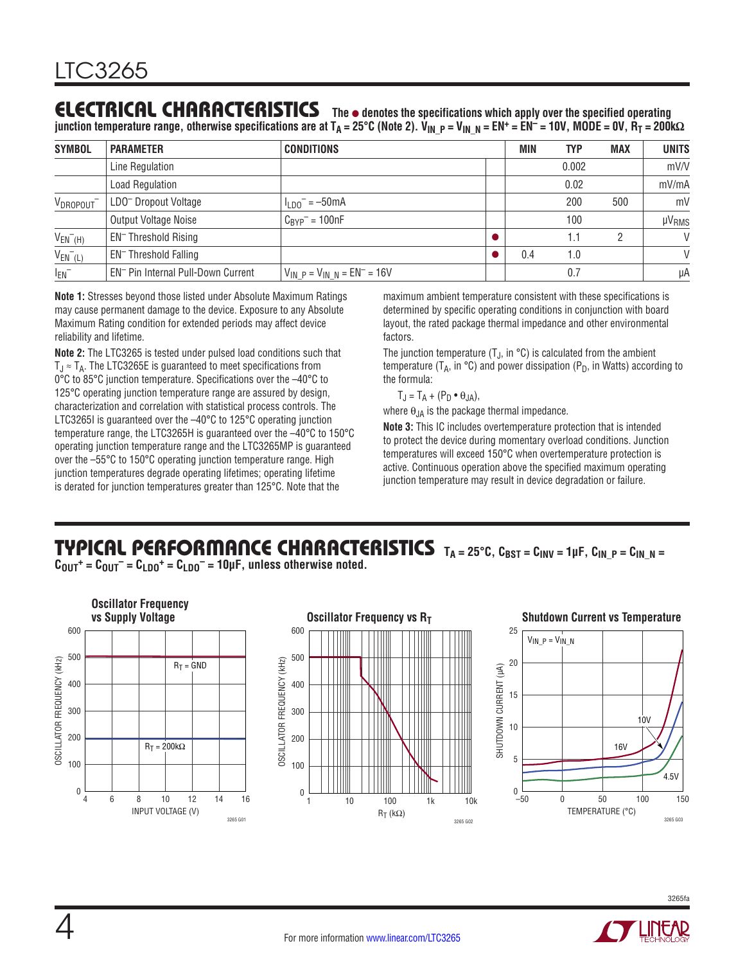#### **The** l **denotes the specifications which apply over the specified operating** ELECTRICAL CHARACTERISTICS

**junction temperature range, otherwise specifications are at TA = 25°C (Note 2). VIN\_P = VIN\_N = EN+ = EN– = 10V, MODE = 0V, RT = 200kΩ**

| <b>SYMBOL</b>               | <b>PARAMETER</b>                               | <b>CONDITIONS</b>                      | MIN | <b>TYP</b> | <b>MAX</b> | <b>UNITS</b>      |
|-----------------------------|------------------------------------------------|----------------------------------------|-----|------------|------------|-------------------|
|                             | Line Regulation                                |                                        |     | 0.002      |            | mV/V              |
|                             | <b>Load Regulation</b>                         |                                        |     | 0.02       |            | mV/mA             |
| V <sub>DROPOUT</sub>        | LDO <sup>-</sup> Dropout Voltage               | $\frac{1}{100}$ = -50mA                |     | 200        | 500        | mV                |
|                             | Output Voltage Noise                           | $C_{BYP}^-$ = 100nF                    |     | 100        |            | µV <sub>RMS</sub> |
| $V_{EN}$ <sup>-</sup> $(H)$ | EN <sup>-</sup> Threshold Rising               |                                        |     |            |            | $\vee$            |
| $V_{EN}$ <sup>-</sup> (L)   | EN <sup>-</sup> Threshold Falling              |                                        | 0.4 | 1.0        |            | $\vee$            |
| $I_{EN}^-$                  | EN <sup>-</sup> Pin Internal Pull-Down Current | $V_{IN}$ $p = V_{IN}$ $N = EN^- = 16V$ |     | 0.7        |            | μA                |

**Note 1:** Stresses beyond those listed under Absolute Maximum Ratings may cause permanent damage to the device. Exposure to any Absolute Maximum Rating condition for extended periods may affect device reliability and lifetime.

**Note 2:** The LTC3265 is tested under pulsed load conditions such that  $T_J \approx T_A$ . The LTC3265E is guaranteed to meet specifications from 0°C to 85°C junction temperature. Specifications over the –40°C to 125°C operating junction temperature range are assured by design, characterization and correlation with statistical process controls. The LTC3265I is guaranteed over the –40°C to 125°C operating junction temperature range, the LTC3265H is guaranteed over the –40°C to 150°C operating junction temperature range and the LTC3265MP is guaranteed over the –55°C to 150°C operating junction temperature range. High junction temperatures degrade operating lifetimes; operating lifetime is derated for junction temperatures greater than 125°C. Note that the

maximum ambient temperature consistent with these specifications is determined by specific operating conditions in conjunction with board layout, the rated package thermal impedance and other environmental factors.

The junction temperature  $(T_J, in \, ^\circ\mathbb{C})$  is calculated from the ambient temperature ( $T_A$ , in °C) and power dissipation ( $P_D$ , in Watts) according to the formula:

$$
T_J = T_A + (P_D \bullet \theta_{JA}),
$$

where  $\theta_{JA}$  is the package thermal impedance.

**Note 3:** This IC includes overtemperature protection that is intended to protect the device during momentary overload conditions. Junction temperatures will exceed 150°C when overtemperature protection is active. Continuous operation above the specified maximum operating junction temperature may result in device degradation or failure.

#### TYPICAL PERFORMANCE CHARACTERISTICS TA = 25°C, C<sub>BST</sub> = C<sub>INV</sub> = 1µF, C<sub>IN\_P</sub> = C<sub>IN\_N</sub> =  $C_{\text{OUT}}$ <sup>+</sup> =  $C_{\text{OUT}}$ <sup>-</sup> =  $C_{\text{LDO}}$ <sup>+</sup> =  $C_{\text{LDO}}$ <sup>-</sup> = 10µF, unless otherwise noted.

**Oscillator Frequency Oscillator Frequency vs R<sub>T</sub> 600 Shutdown Current vs Temperature** 600 600 25  $V_{IN}$   $P = V_{IN}$  N 500 500 OSCILLATOR FREQUENCY (KHZ) **DSCILLATOR FREQUENCY (KHZ)** OSCILLATOR FREQUENCY (kHz) OSCILLATOR FREQUENCY (kHz)  $R_T = GND$ 20 SHUTDOWN CURRENT (µA) SHUTDOWN CURRENT (μA) 400 400 15 300 300 10V10 200 200  $R_T = 200k\Omega$ 16V 5 100 100 4.5V 0  $0 - 50$ 0 4 6 8 10 12 14 16 –50 0 50 100 150 1 10 100 1k 10k INPUT VOLTAGE (V) TEMPERATURE (°C)  $R<sub>T</sub>$  (kΩ) 3265 GO 3265 G03 3265 G02

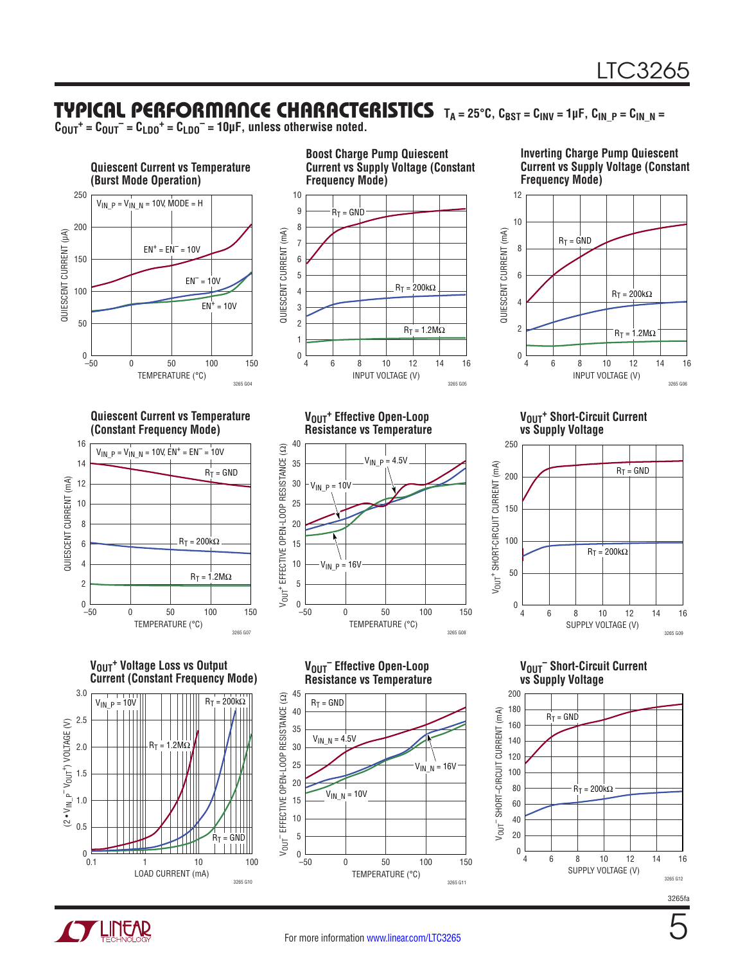### TYPICAL PERFORMANCE CHARACTERISTICS TA=25°C, CBST = CINV = 1µF, CIN\_P = CIN\_N =

 $C_{\text{OUT}}{}^+ = C_{\text{OUT}}{}^- = C_{\text{LDO}}{}^+ = C_{\text{LDO}}{}^- = 10 \mu \text{F}$ , unless otherwise noted.



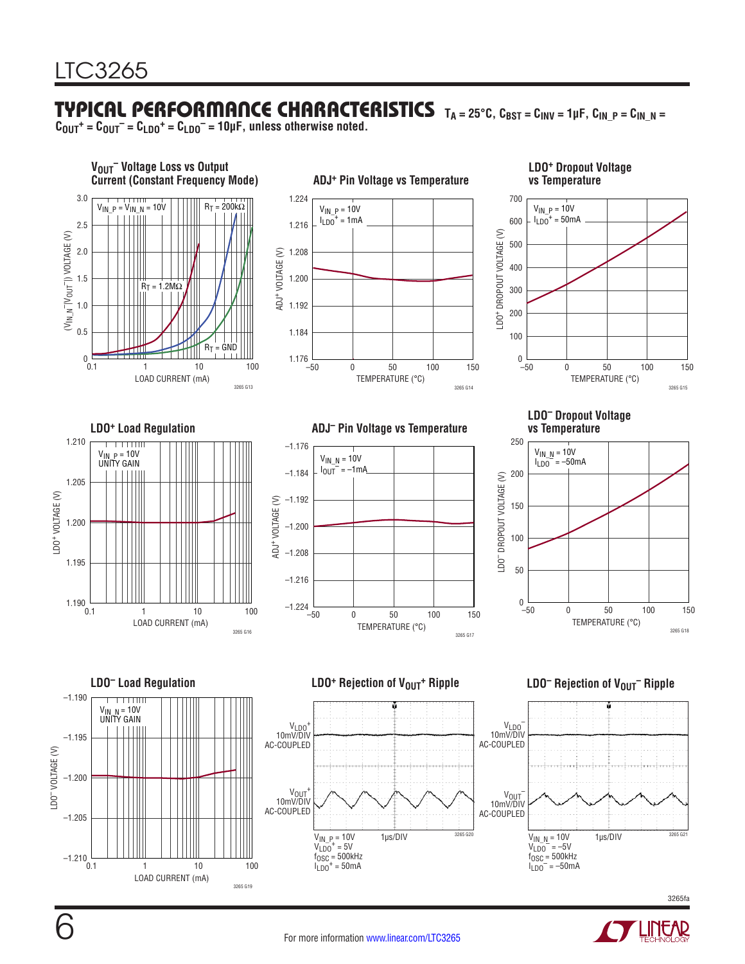# TYPICAL PERFORMANCE CHARACTERISTICS **TA = 25°C, CBST = CINV = 1µF, CIN\_P = CIN\_N =**

 $C_{\text{OUT}}{}^+ = C_{\text{OUT}}{}^- = C_{\text{LDO}}{}^+ = C_{\text{LDO}}{}^- = 10 \mu \text{F}$ , unless otherwise noted.



![](_page_5_Picture_4.jpeg)

LOAD CURRENT (mA)

3265 G19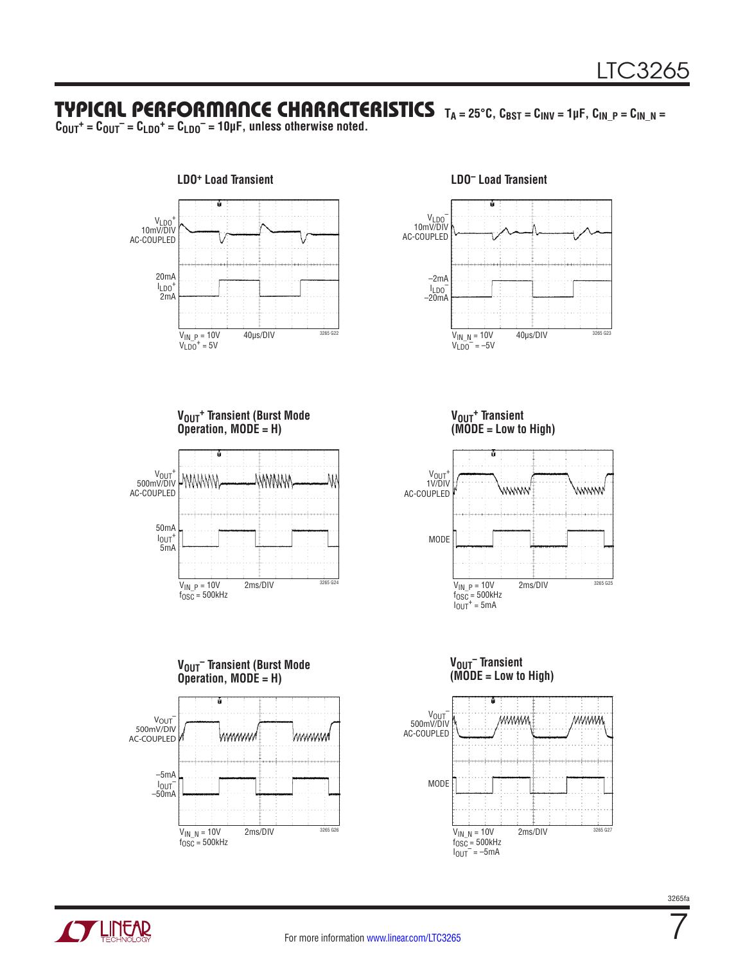## TYPICAL PERFORMANCE CHARACTERISTICS **TA = 25°C, CBST = CINV = 1µF, CIN\_P = CIN\_N =**

 $C_{\text{OUT}}{}^+ = C_{\text{OUT}}{}^- = C_{\text{LDO}}{}^+ = C_{\text{LDO}}{}^- = 10 \mu \text{F}$ , unless otherwise noted.

![](_page_6_Figure_3.jpeg)

![](_page_6_Figure_5.jpeg)

**VOUT+ Transient (Burst Mode Operation, MODE = H)** <sup>+</sup><br>500mV/DIV WWWW WWWW AC-COUPLED 50mA  $I_{\text{OUT}}$ <sup>+</sup><br>5mA

> $V_{1N\_P} = 10V$  2ms/DIV  $3265\,624$ f<sub>OSC</sub> = 500kHz

**VOUT– Transient (Burst Mode Operation, MODE = H)** V<sub>OUT</sub> 500mV/DIV WWWWW wwwww AC-COUPLED –5mA IOUT– –50mA  $V_{IN\_N} = 10V$  2ms/DIV  $3265\,626$  $f_{\rm OSC}$  = 500kHz

**VOUT+ Transient (MODE = Low to High)**

![](_page_6_Figure_10.jpeg)

#### **VOUT– Transient (MODE = Low to High)**

![](_page_6_Figure_12.jpeg)

![](_page_6_Picture_13.jpeg)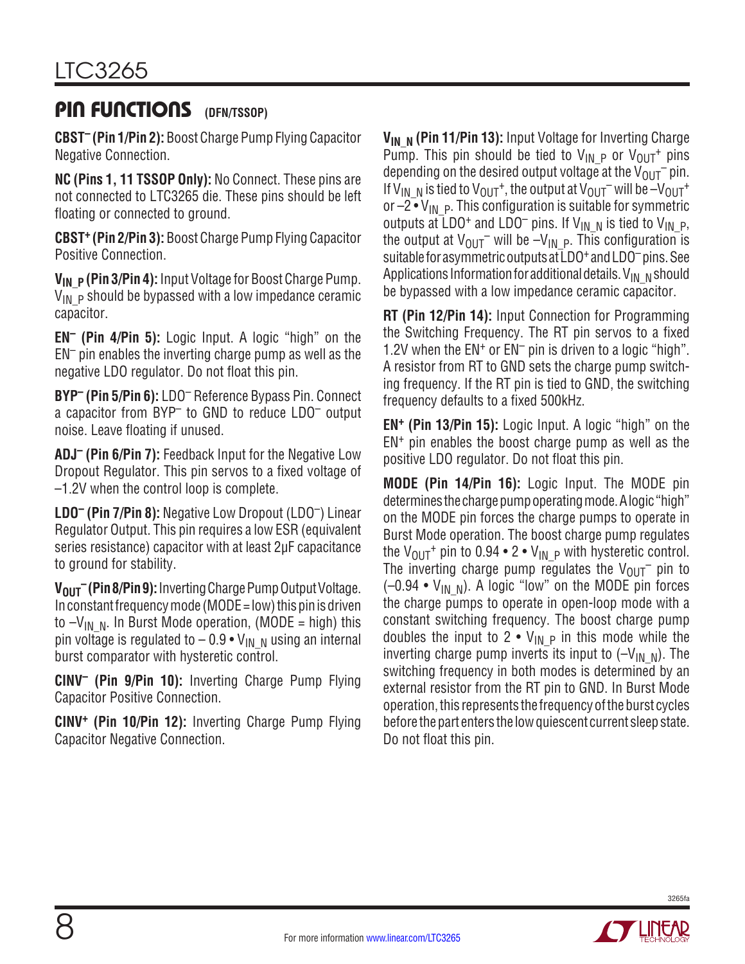## **PIN FUNCTIONS** (DEN/TSSOP)

**CBST– (Pin 1/Pin 2):** Boost Charge Pump Flying Capacitor Negative Connection.

**NC (Pins 1, 11 TSSOP Only):** No Connect. These pins are not connected to LTC3265 die. These pins should be left floating or connected to ground.

**CBST+ (Pin 2/Pin 3):** Boost Charge Pump Flying Capacitor Positive Connection.

**V<sub>IN</sub> P** (Pin 3/Pin 4): Input Voltage for Boost Charge Pump.  $V_{IN}$  p should be bypassed with a low impedance ceramic capacitor.

**EN– (Pin 4/Pin 5):** Logic Input. A logic "high" on the  $EN<sup>-</sup>$  pin enables the inverting charge pump as well as the negative LDO regulator. Do not float this pin.

**BYP– (Pin 5/Pin 6):** LDO– Reference Bypass Pin. Connect a capacitor from BYP– to GND to reduce LDO– output noise. Leave floating if unused.

**ADJ– (Pin 6/Pin 7):** Feedback Input for the Negative Low Dropout Regulator. This pin servos to a fixed voltage of –1.2V when the control loop is complete.

**LDO– (Pin 7/Pin 8):** Negative Low Dropout (LDO–) Linear Regulator Output. This pin requires a low ESR (equivalent series resistance) capacitor with at least 2µF capacitance to ground for stability.

**V<sub>OUT</sub> (Pin 8/Pin 9):** Inverting Charge Pump Output Voltage. In constant frequency mode (MODE = low) this pin is driven to  $-V_{IN-N}$ . In Burst Mode operation, (MODE = high) this pin voltage is regulated to  $-0.9 \cdot V_{IN-N}$  using an internal burst comparator with hysteretic control.

**CINV– (Pin 9/Pin 10):** Inverting Charge Pump Flying Capacitor Positive Connection.

**CINV+ (Pin 10/Pin 12):** Inverting Charge Pump Flying Capacitor Negative Connection.

**V<sub>IN N</sub>** (Pin 11/Pin 13): Input Voltage for Inverting Charge Pump. This pin should be tied to  $V_{IN}$  p or  $V_{OUT}$  pins depending on the desired output voltage at the  $V_{OUT}$  pin. If V<sub>IN, N</sub> is tied to V<sub>OUT</sub><sup>+</sup>, the output at V<sub>OUT</sub>– will be  $-V_{\text{OUT}}$ <sup>+</sup> or  $-2 \cdot V_{IN}$  p. This configuration is suitable for symmetric outputs at LDO<sup>+</sup> and LDO<sup>-</sup> pins. If V<sub>IN\_N</sub> is tied to V<sub>IN\_P</sub>, the output at  $V_{OUT}$  will be  $-V_{IN}$  p. This configuration is suitable for asymmetric outputs at LDO<sup>+</sup> and LDO<sup>-</sup> pins. See Applications Information for additional details. V<sub>IN</sub> Nshould be bypassed with a low impedance ceramic capacitor.

**RT (Pin 12/Pin 14):** Input Connection for Programming the Switching Frequency. The RT pin servos to a fixed 1.2V when the  $EN^+$  or  $EN^-$  pin is driven to a logic "high". A resistor from RT to GND sets the charge pump switching frequency. If the RT pin is tied to GND, the switching frequency defaults to a fixed 500kHz.

**EN+ (Pin 13/Pin 15):** Logic Input. A logic "high" on the  $EN<sup>+</sup>$  pin enables the boost charge pump as well as the positive LDO regulator. Do not float this pin.

**MODE (Pin 14/Pin 16):** Logic Input. The MODE pin determines the charge pump operating mode. A logic "high" on the MODE pin forces the charge pumps to operate in Burst Mode operation. The boost charge pump regulates the  $V_{\text{OUT}}$ <sup>+</sup> pin to 0.94 • 2 •  $V_{\text{IN}}$  <sub>P</sub> with hysteretic control. The inverting charge pump regulates the  $V_{OUT}^-$  pin to  $(-0.94 \cdot V_{IN-N})$ . A logic "low" on the MODE pin forces the charge pumps to operate in open-loop mode with a constant switching frequency. The boost charge pump doubles the input to 2  $\bullet$  V<sub>IN P</sub> in this mode while the inverting charge pump inverts its input to  $(-V_{IN-N})$ . The switching frequency in both modes is determined by an external resistor from the RT pin to GND. In Burst Mode operation, this represents the frequencyoftheburst cycles before the part enters the low quiescent current sleep state. Do not float this pin.

![](_page_7_Picture_17.jpeg)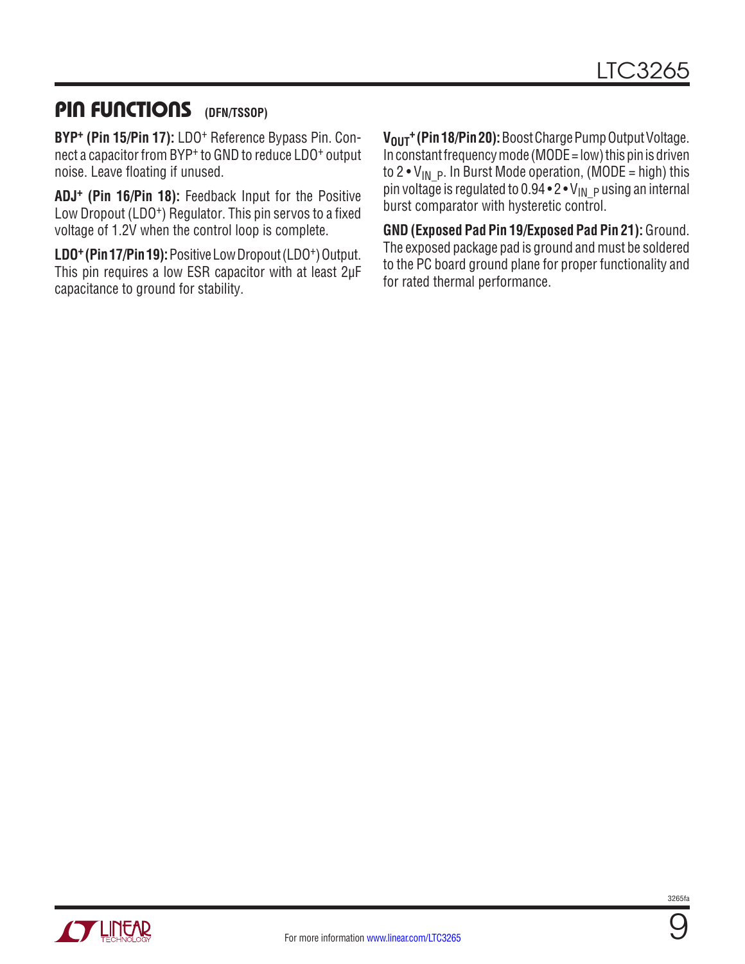## **PIN FUNCTIONS** (DFN/TSSOP)

**BYP+ (Pin 15/Pin 17):** LDO+ Reference Bypass Pin. Connect a capacitor from BYP+ to GND to reduce LDO+ output noise. Leave floating if unused.

**ADJ+ (Pin 16/Pin 18):** Feedback Input for the Positive Low Dropout (LDO<sup>+</sup>) Regulator. This pin servos to a fixed voltage of 1.2V when the control loop is complete.

LDO<sup>+</sup> (Pin 17/Pin 19): Positive Low Dropout (LDO<sup>+</sup>) Output. This pin requires a low ESR capacitor with at least 2µF capacitance to ground for stability.

V<sub>OUT</sub><sup>+</sup> (Pin 18/Pin 20): Boost Charge Pump Output Voltage. In constant frequency mode (MODE =  $low$ ) this pin is driven to 2 •  $V_{IN}$  p. In Burst Mode operation, (MODE = high) this pin voltage is regulated to  $0.94 \cdot 2 \cdot V_{IN}$  pusing an internal burst comparator with hysteretic control.

**GND (Exposed Pad Pin 19/Exposed Pad Pin 21):** Ground. The exposed package pad is ground and must be soldered to the PC board ground plane for proper functionality and for rated thermal performance.

![](_page_8_Picture_7.jpeg)

![](_page_8_Picture_9.jpeg)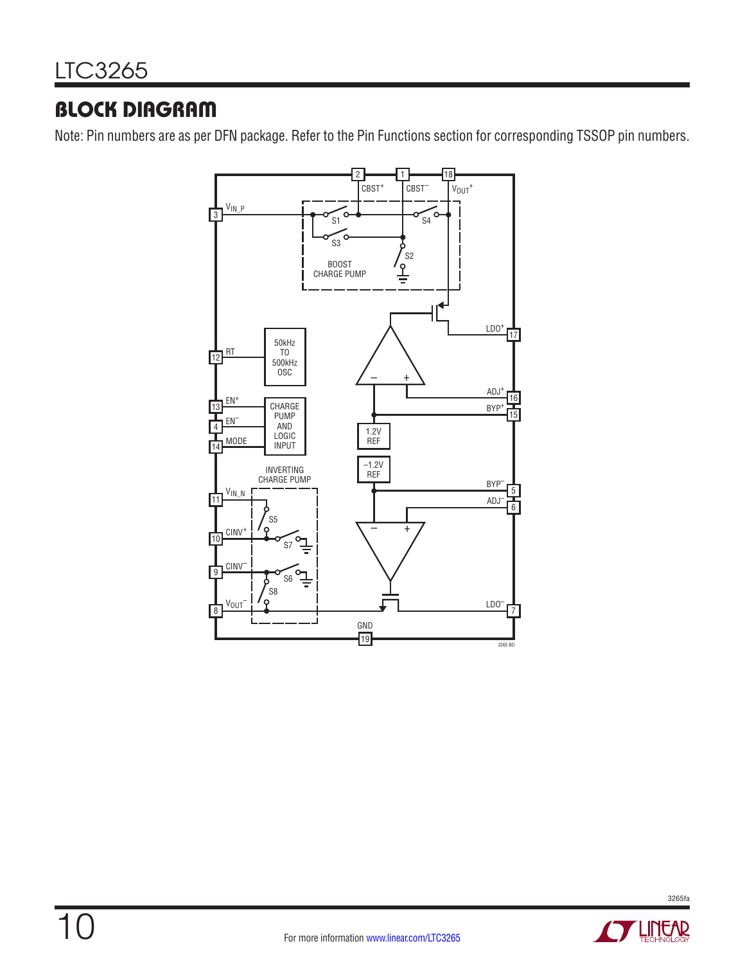# BLOCK DIAGRAM

Note: Pin numbers are as per DFN package. Refer to the Pin Functions section for corresponding TSSOP pin numbers.

![](_page_9_Figure_3.jpeg)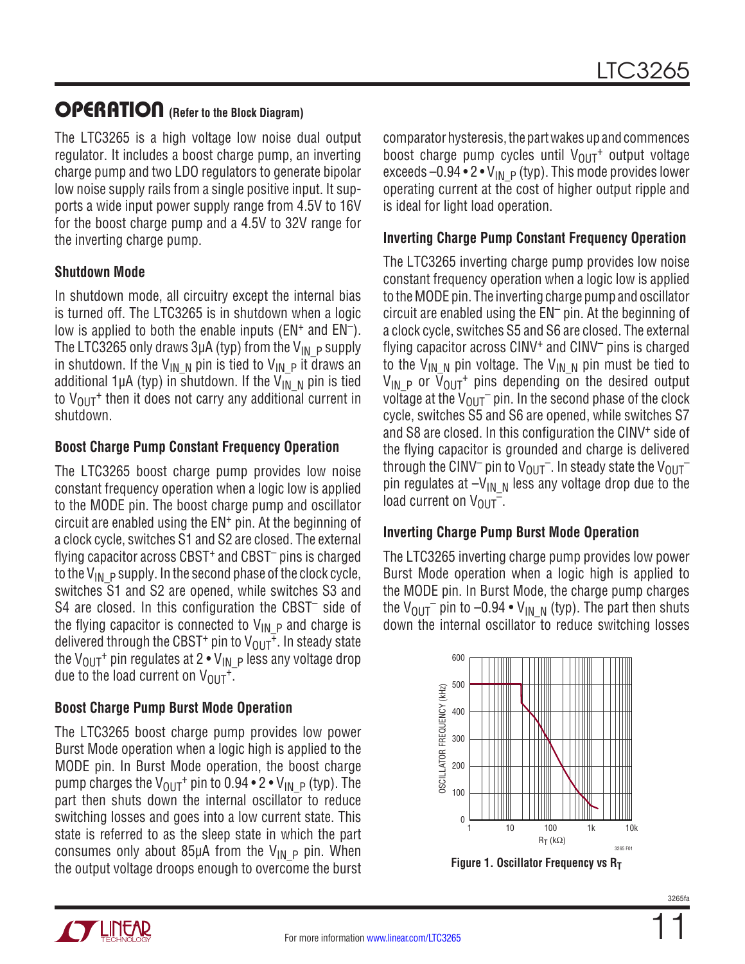### OPERATION **(Refer to the Block Diagram)**

The LTC3265 is a high voltage low noise dual output regulator. It includes a boost charge pump, an inverting charge pump and two LDO regulators to generate bipolar low noise supply rails from a single positive input. It supports a wide input power supply range from 4.5V to 16V for the boost charge pump and a 4.5V to 32V range for the inverting charge pump.

#### **Shutdown Mode**

In shutdown mode, all circuitry except the internal bias is turned off. The LTC3265 is in shutdown when a logic low is applied to both the enable inputs  $(EN^+)$  and  $EN^-$ ). The LTC3265 only draws 3µA (typ) from the  $V_{IN-P}$  supply in shutdown. If the V<sub>IN\_N</sub> pin is tied to V<sub>IN\_P</sub> it draws an additional 1µA (typ) in shutdown. If the V<sub>IN</sub> N pin is tied to  $V_{\text{OUT}}$ <sup>+</sup> then it does not carry any additional current in shutdown.

#### **Boost Charge Pump Constant Frequency Operation**

The LTC3265 boost charge pump provides low noise constant frequency operation when a logic low is applied to the MODE pin. The boost charge pump and oscillator circuit are enabled using the EN+ pin. At the beginning of a clock cycle, switches S1 and S2 are closed. The external flying capacitor across CBST+ and CBST– pins is charged to the V<sub>IN</sub>  $_P$  supply. In the second phase of the clock cycle, switches S1 and S2 are opened, while switches S3 and S4 are closed. In this configuration the CBST<sup>-</sup> side of the flying capacitor is connected to  $V_{IN}P$  and charge is delivered through the CBST<sup>+</sup> pin to  $V_{OUT}^{\bar{+}}$ . In steady state the V<sub>OUT</sub><sup>+</sup> pin regulates at 2 • V<sub>IN</sub>  $_P$  less any voltage drop due to the load current on  $V_{OUT}^+$ .

#### **Boost Charge Pump Burst Mode Operation**

The LTC3265 boost charge pump provides low power Burst Mode operation when a logic high is applied to the MODE pin. In Burst Mode operation, the boost charge pump charges the  $V_{\text{OUT}}$ <sup>+</sup> pin to 0.94 • 2 •  $V_{\text{IN}}$  <sub>P</sub> (typ). The part then shuts down the internal oscillator to reduce switching losses and goes into a low current state. This state is referred to as the sleep state in which the part consumes only about 85µA from the  $V_{IN}$  p pin. When the output voltage droops enough to overcome the burst

![](_page_10_Picture_9.jpeg)

#### **Inverting Charge Pump Constant Frequency Operation**

The LTC3265 inverting charge pump provides low noise constant frequency operation when a logic low is applied to the MODE pin. The inverting charge pump and oscillator circuit are enabled using the EN– pin. At the beginning of a clock cycle, switches S5 and S6 are closed. The external flying capacitor across CINV+ and CINV– pins is charged to the V<sub>IN N</sub> pin voltage. The V<sub>IN N</sub> pin must be tied to  $V_{IN}$  p or  $\overline{V}_{OUT}$  pins depending on the desired output voltage at the  $V_{\text{OUT}}$  pin. In the second phase of the clock cycle, switches S5 and S6 are opened, while switches S7 and S8 are closed. In this configuration the CINV+ side of the flying capacitor is grounded and charge is delivered through the CINV<sup>-</sup> pin to  $V_{OUT}$ <sup>-</sup>. In steady state the  $V_{OUT}$ <sup>-</sup> pin regulates at  $-V_{IN\_N}$  less any voltage drop due to the load current on  $V_{OUT}^-$ .

#### **Inverting Charge Pump Burst Mode Operation**

The LTC3265 inverting charge pump provides low power Burst Mode operation when a logic high is applied to the MODE pin. In Burst Mode, the charge pump charges the  $V_{\text{OUT}}$  pin to -0.94  $\bullet$  V<sub>IN N</sub> (typ). The part then shuts down the internal oscillator to reduce switching losses

![](_page_10_Figure_14.jpeg)

**Figure 1. Oscillator Frequency vs RT** 

![](_page_10_Picture_16.jpeg)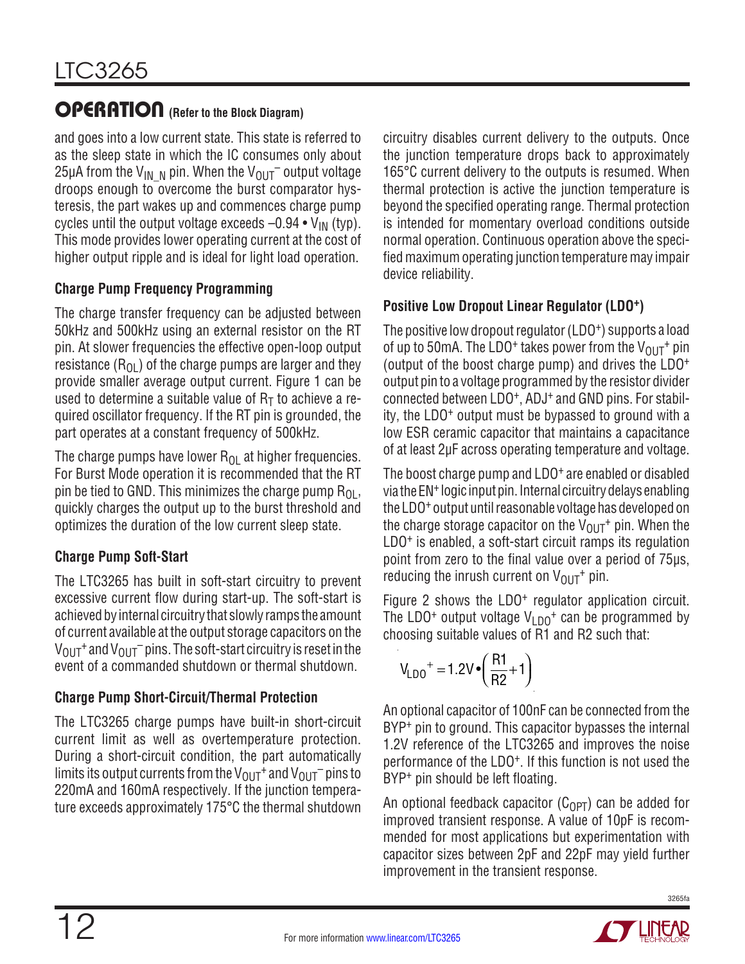## OPERATION **(Refer to the Block Diagram)**

and goes into a low current state. This state is referred to as the sleep state in which the IC consumes only about 25µA from the V<sub>IN, N</sub> pin. When the V<sub>OUT</sub> output voltage droops enough to overcome the burst comparator hysteresis, the part wakes up and commences charge pump cycles until the output voltage exceeds  $-0.94 \cdot V_{IN}$  (typ). This mode provides lower operating current at the cost of higher output ripple and is ideal for light load operation.

#### **Charge Pump Frequency Programming**

The charge transfer frequency can be adjusted between 50kHz and 500kHz using an external resistor on the RT pin. At slower frequencies the effective open-loop output resistance  $(R_{01})$  of the charge pumps are larger and they provide smaller average output current. Figure 1 can be used to determine a suitable value of  $R<sub>T</sub>$  to achieve a required oscillator frequency. If the RT pin is grounded, the part operates at a constant frequency of 500kHz.

The charge pumps have lower  $R_{OL}$  at higher frequencies. For Burst Mode operation it is recommended that the RT pin be tied to GND. This minimizes the charge pump  $R_{OL}$ , quickly charges the output up to the burst threshold and optimizes the duration of the low current sleep state.

#### **Charge Pump Soft-Start**

The LTC3265 has built in soft-start circuitry to prevent excessive current flow during start-up. The soft-start is achieved by internal circuitry that slowly ramps the amount of current available at the output storage capacitors on the  $V_{\text{OUT}}$ <sup>+</sup> and  $V_{\text{OUT}}$ <sup>-</sup> pins. The soft-start circuitry is reset in the event of a commanded shutdown or thermal shutdown.

#### **Charge Pump Short-Circuit/Thermal Protection**

The LTC3265 charge pumps have built-in short-circuit current limit as well as overtemperature protection. During a short-circuit condition, the part automatically limits its output currents from the  $V_{\text{OUT}}{}^+$  and  $V_{\text{OUT}}{}^-$  pins to 220mA and 160mA respectively. If the junction temperature exceeds approximately 175°C the thermal shutdown

circuitry disables current delivery to the outputs. Once the junction temperature drops back to approximately 165°C current delivery to the outputs is resumed. When thermal protection is active the junction temperature is beyond the specified operating range. Thermal protection is intended for momentary overload conditions outside normal operation. Continuous operation above the specified maximumoperating junction temperature may impair device reliability.

#### **Positive Low Dropout Linear Regulator (LDO+)**

The positive low dropout regulator (LDO<sup>+</sup>) supports a load of up to 50mA. The LDO<sup>+</sup> takes power from the  $V_{OIIT}$ <sup>+</sup> pin (output of the boost charge pump) and drives the LDO+ output pin to a voltage programmed by the resistor divider connected between LDO+, ADJ+ and GND pins. For stability, the LDO+ output must be bypassed to ground with a low ESR ceramic capacitor that maintains a capacitance of at least 2µF across operating temperature and voltage.

The boost charge pump and LDO<sup>+</sup> are enabled or disabled via the EN<sup>+</sup> logic input pin. Internal circuitry delays enabling the LDO+ output until reasonable voltage has developed on the charge storage capacitor on the  $V_{\Omega I}T^+$  pin. When the LDO+ is enabled, a soft-start circuit ramps its regulation point from zero to the final value over a period of 75µs, reducing the inrush current on  $V_{OUT}$ <sup>+</sup> pin.

Figure 2 shows the LDO<sup>+</sup> regulator application circuit. The LDO<sup>+</sup> output voltage  $V_{1D0}$ <sup>+</sup> can be programmed by choosing suitable values of R1 and R2 such that:

$$
V_{LDO}^+ = 1.2V \cdot \left(\frac{R1}{R2} + 1\right)
$$

An optional capacitor of 100nF can be connected from the BYP<sup>+</sup> pin to ground. This capacitor bypasses the internal 1.2V reference of the LTC3265 and improves the noise performance of the LDO+. If this function is not used the BYP<sup>+</sup> pin should be left floating.

An optional feedback capacitor  $(C_{\Omega PT})$  can be added for improved transient response. A value of 10pF is recommended for most applications but experimentation with capacitor sizes between 2pF and 22pF may yield further improvement in the transient response.

![](_page_11_Picture_18.jpeg)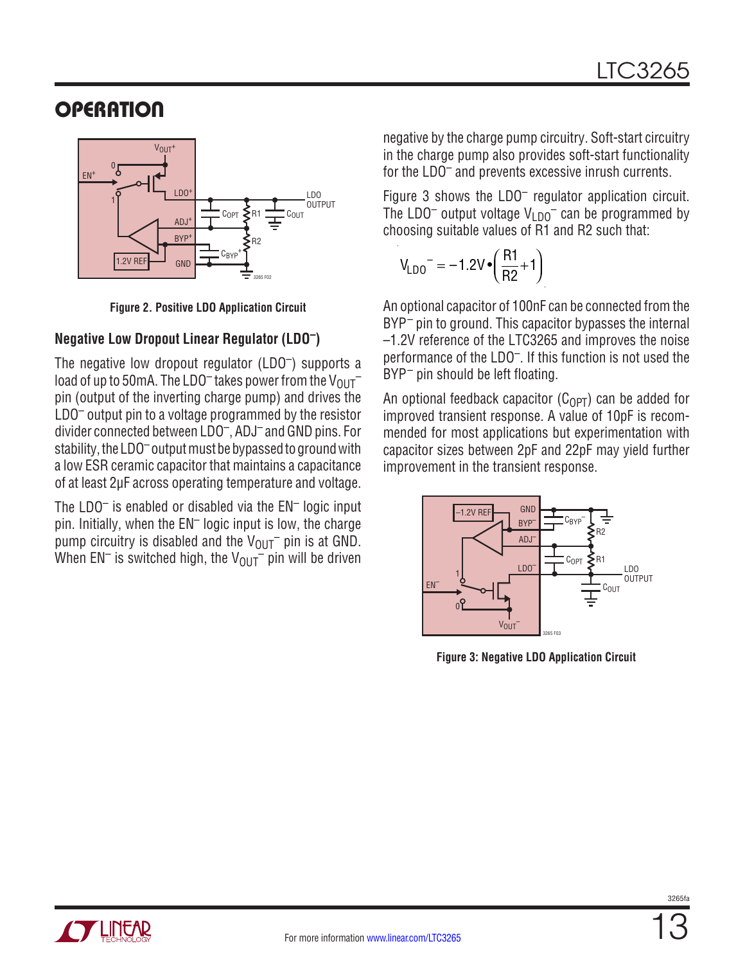# **OPERATION**

![](_page_12_Figure_2.jpeg)

**Figure 2. Positive LDO Application Circuit**

#### **Negative Low Dropout Linear Regulator (LDO–)**

The negative low dropout regulator (LDO–) supports a load of up to 50mA. The LDO<sup>-</sup> takes power from the  $V_{\text{OUT}}$ <sup>-</sup> pin (output of the inverting charge pump) and drives the LDO– output pin to a voltage programmed by the resistor divider connected between LDO–, ADJ– and GND pins. For stability, the LDO<sup>-</sup> output must be bypassed to ground with a low ESR ceramic capacitor that maintains a capacitance of at least 2µF across operating temperature and voltage.

The LDO<sup>-</sup> is enabled or disabled via the EN<sup>-</sup> logic input pin. Initially, when the EN– logic input is low, the charge pump circuitry is disabled and the  $V_{\text{OUT}}$  pin is at GND. When EN<sup>-</sup> is switched high, the V<sub>OUT</sub><sup>-</sup> pin will be driven

negative by the charge pump circuitry. Soft-start circuitry in the charge pump also provides soft-start functionality for the LDO– and prevents excessive inrush currents.

Figure 3 shows the LDO– regulator application circuit. The LDO<sup>–</sup> output voltage  $V_{LDO}$ <sup>–</sup> can be programmed by choosing suitable values of R1 and R2 such that:

$$
V_{LDO}^- = -1.2V \cdot \left(\frac{R1}{R2} + 1\right)
$$

An optional capacitor of 100nF can be connected from the BYP<sup>-</sup> pin to ground. This capacitor bypasses the internal –1.2V reference of the LTC3265 and improves the noise performance of the LDO–. If this function is not used the BYP<sup>-</sup> pin should be left floating.

An optional feedback capacitor ( $C_{\text{OPT}}$ ) can be added for improved transient response. A value of 10pF is recommended for most applications but experimentation with capacitor sizes between 2pF and 22pF may yield further improvement in the transient response.

![](_page_12_Figure_12.jpeg)

**Figure 3: Negative LDO Application Circuit**

![](_page_12_Picture_14.jpeg)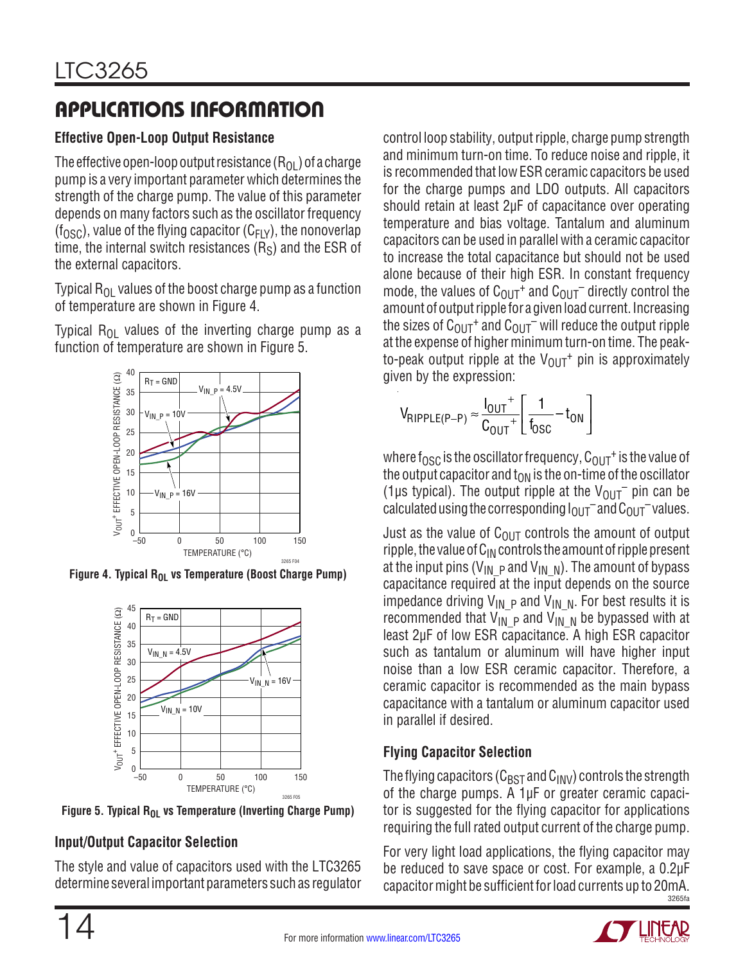# APPLICATIONS INFORMATION

#### **Effective Open-Loop Output Resistance**

The effective open-loop output resistance  $(R_{OL})$  of a charge pump is a very important parameter which determines the strength of the charge pump. The value of this parameter depends on many factors such as the oscillator frequency  $(f<sub>OSC</sub>)$ , value of the flying capacitor ( $C<sub>F</sub>Y$ ), the nonoverlap time, the internal switch resistances  $(R<sub>S</sub>)$  and the ESR of the external capacitors.

Typical  $R_{01}$  values of the boost charge pump as a function of temperature are shown in Figure 4.

Typical  $R_{OL}$  values of the inverting charge pump as a function of temperature are shown in Figure 5.

![](_page_13_Figure_6.jpeg)

Figure 4. Typical R<sub>OL</sub> vs Temperature (Boost Charge Pump)

![](_page_13_Figure_8.jpeg)

Figure 5. Typical R<sub>OL</sub> vs Temperature (Inverting Charge Pump)

#### **Input/Output Capacitor Selection**

The style and value of capacitors used with the LTC3265 determine several important parameters such as regulator

control loop stability, output ripple, charge pump strength and minimum turn-on time. To reduce noise and ripple, it is recommended that low ESR ceramic capacitors be used for the charge pumps and LDO outputs. All capacitors should retain at least 2µF of capacitance over operating temperature and bias voltage. Tantalum and aluminum capacitors can be used in parallel with a ceramic capacitor to increase the total capacitance but should not be used alone because of their high ESR. In constant frequency mode, the values of  $C_{\text{OUT}}$  and  $C_{\text{OUT}}$  directly control the amount of output ripple for a given load current. Increasing the sizes of  $C_{\text{OUT}}$ <sup>+</sup> and  $C_{\text{OUT}}$ <sup>-</sup> will reduce the output ripple at the expense of higher minimum turn-on time. The peakto-peak output ripple at the  $V_{\text{OUT}}{}^+$  pin is approximately given by the expression:

$$
V_{RIPPLE(P-P)} \approx \frac{I_{OUT}^+}{C_{OUT}^+} \left[ \frac{1}{f_{OSC}} - t_{ON} \right]
$$

where f<sub>OSC</sub> is the oscillator frequency,  $C_{\text{OUT}}$ <sup>+</sup> is the value of the output capacitor and  $t_{ON}$  is the on-time of the oscillator (1µs typical). The output ripple at the  $V_{OUT}^-$  pin can be calculated using the corresponding  $I_{\text{OUT}}$  and  $C_{\text{OUT}}$  values.

Just as the value of  $C_{\text{OUT}}$  controls the amount of output ripple, the value of  $C_{IN}$  controls the amount of ripple present at the input pins (V<sub>IN\_P</sub> and V<sub>IN\_N</sub>). The amount of bypass capacitance required at the input depends on the source impedance driving  $V_{IN}$  p and  $V_{IN}$  N. For best results it is recommended that  $V_{\text{IN}}$   $_{\text{P}}$  and  $V_{\text{IN}}$  N be bypassed with at least 2µF of low ESR capacitance. A high ESR capacitor such as tantalum or aluminum will have higher input noise than a low ESR ceramic capacitor. Therefore, a ceramic capacitor is recommended as the main bypass capacitance with a tantalum or aluminum capacitor used in parallel if desired.

#### **Flying Capacitor Selection**

The flying capacitors ( $C_{\text{BST}}$  and  $C_{\text{INV}}$ ) controls the strength of the charge pumps. A 1µF or greater ceramic capacitor is suggested for the flying capacitor for applications requiring the full rated output current of the charge pump.

3265fa For very light load applications, the flying capacitor may be reduced to save space or cost. For example, a 0.2µF capacitor might be sufficient for load currents up to 20mA.

![](_page_13_Picture_19.jpeg)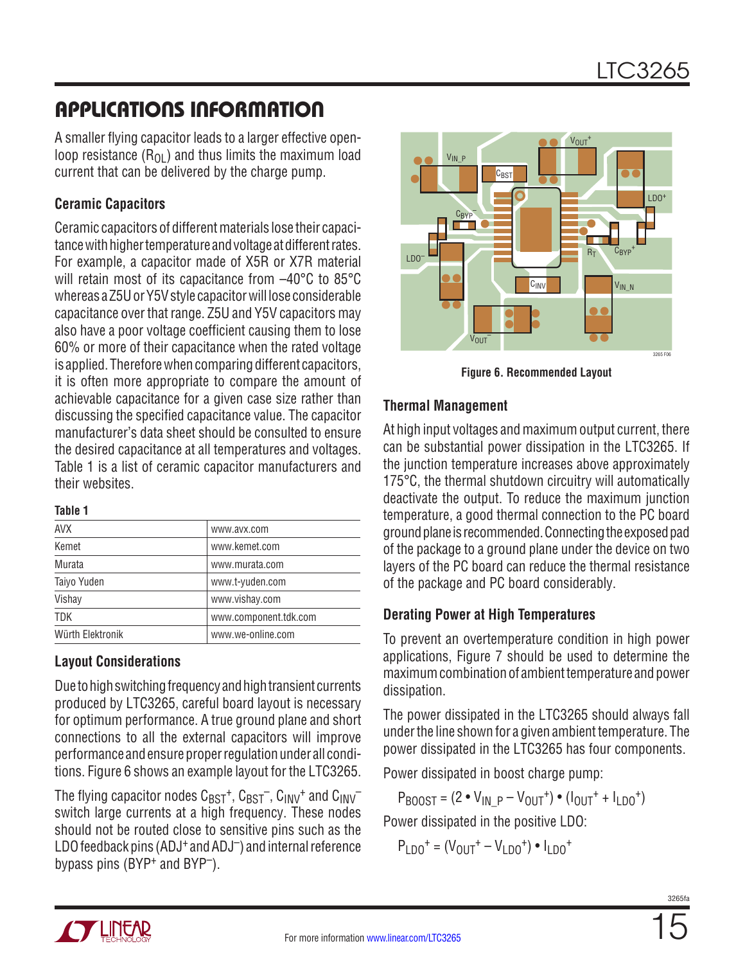# APPLICATIONS INFORMATION

A smaller flying capacitor leads to a larger effective openloop resistance  $(R<sub>01</sub>)$  and thus limits the maximum load current that can be delivered by the charge pump.

#### **Ceramic Capacitors**

Ceramic capacitors of different materials lose their capacitance with higher temperature and voltage at different rates. For example, a capacitor made of X5R or X7R material will retain most of its capacitance from –40°C to 85°C whereas a Z5U or Y5V style capacitorwill lose considerable capacitance over that range. Z5U and Y5V capacitors may also have a poor voltage coefficient causing them to lose 60% or more of their capacitance when the rated voltage is applied. Therefore when comparing different capacitors, it is often more appropriate to compare the amount of achievable capacitance for a given case size rather than discussing the specified capacitance value. The capacitor manufacturer's data sheet should be consulted to ensure the desired capacitance at all temperatures and voltages. Table 1 is a list of ceramic capacitor manufacturers and their websites.

#### **Table 1**

| <b>AVX</b>       | www.avx.com           |
|------------------|-----------------------|
| Kemet            | www.kemet.com         |
| Murata           | www.murata.com        |
| Taiyo Yuden      | www.t-yuden.com       |
| Vishay           | www.vishay.com        |
| <b>TDK</b>       | www.component.tdk.com |
| Würth Elektronik | www.we-online.com     |
|                  |                       |

#### **Layout Considerations**

Due to high switching frequency and high transient currents produced by LTC3265, careful board layout is necessary for optimum performance. A true ground plane and short connections to all the external capacitors will improve performance and ensure proper regulation under all conditions. Figure 6 shows an example layout for the LTC3265.

The flying capacitor nodes  $C_{\text{BST}}^{+}$ ,  $C_{\text{BST}}^{-}$ ,  $C_{\text{INV}}^{+}$  and  $C_{\text{INV}}^{-}$ switch large currents at a high frequency. These nodes should not be routed close to sensitive pins such as the LDO feedback pins (ADJ<sup>+</sup> and ADJ<sup>-</sup>) and internal reference bypass pins  $(BYP^+)$  and  $BYP^-$ ).

![](_page_14_Picture_10.jpeg)

**Figure 6. Recommended Layout**

#### **Thermal Management**

At high input voltages and maximum output current, there can be substantial power dissipation in the LTC3265. If the junction temperature increases above approximately 175°C, the thermal shutdown circuitry will automatically deactivate the output. To reduce the maximum junction temperature, a good thermal connection to the PC board ground plane is recommended. Connecting the exposed pad of the package to a ground plane under the device on two layers of the PC board can reduce the thermal resistance of the package and PC board considerably.

#### **Derating Power at High Temperatures**

To prevent an overtemperature condition in high power applications, Figure 7 should be used to determine the maximum combination of ambient temperature and power dissipation.

The power dissipated in the LTC3265 should always fall under the line shown for a given ambient temperature. The power dissipated in the LTC3265 has four components.

Power dissipated in boost charge pump:

 $P_{BODST} = (2 \cdot V_{IN-P} - V_{OUIT}^+) \cdot (I_{OUIT}^+ + I_{IDO}^+)$ 

Power dissipated in the positive LDO:

$$
P_{LDO}^{+} = (V_{OUT}^{+} - V_{LDO}^{+}) \cdot I_{LDO}^{+}
$$

![](_page_14_Picture_21.jpeg)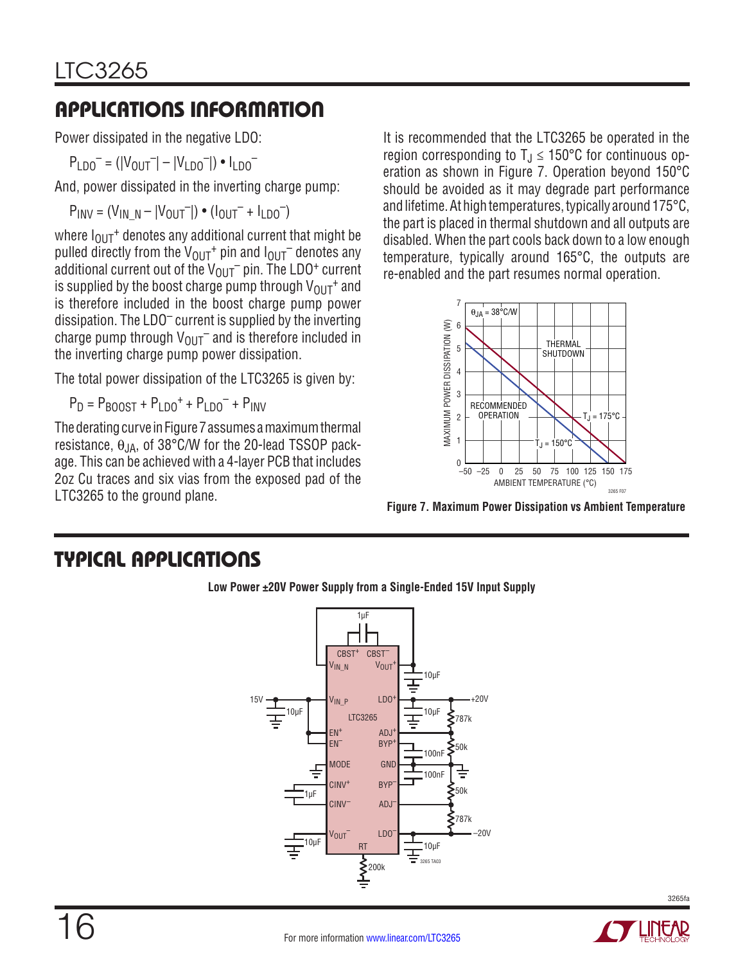# APPLICATIONS INFORMATION

Power dissipated in the negative LDO:

 $P_{LDD}^- = (|V_{OUT}^-| - |V_{LDD}^-|) \cdot I_{LDD}^-$ 

And, power dissipated in the inverting charge pump:

 $P_{INV} = (V_{IN} \, N - |V_{OUT}|) \cdot (I_{OUT} + I_{LDO}^{-})$ 

where  $I_{OUT}$ <sup>+</sup> denotes any additional current that might be pulled directly from the  $V_{\text{OUT}}{}^+$  pin and  $I_{\text{OUT}}{}^-$  denotes any additional current out of the  $V_{OUT}$  pin. The LDO<sup>+</sup> current is supplied by the boost charge pump through  $V_{\text{OUT}}{}^+$  and is therefore included in the boost charge pump power dissipation. The LDO– current is supplied by the inverting charge pump through  $V_{\text{OUT}}$  and is therefore included in the inverting charge pump power dissipation.

The total power dissipation of the LTC3265 is given by:

 $P_D = P_{BODST} + P_{LDD}^+ + P_{LDD}^- + P_{LND}$ 

The derating curve in Figure 7 assumes a maximum thermal resistance,  $\theta_{JA}$ , of 38°C/W for the 20-lead TSSOP package. This can be achieved with a 4-layer PCB that includes 2oz Cu traces and six vias from the exposed pad of the LTC3265 to the ground plane.

It is recommended that the LTC3265 be operated in the region corresponding to  $T_J \le 150^{\circ}$ C for continuous operation as shown in Figure 7. Operation beyond 150°C should be avoided as it may degrade part performance and lifetime. At high temperatures, typically around 175°C, the part is placed in thermal shutdown and all outputs are disabled. When the part cools back down to a low enough temperature, typically around 165°C, the outputs are re-enabled and the part resumes normal operation.

![](_page_15_Figure_11.jpeg)

**Figure 7. Maximum Power Dissipation vs Ambient Temperature**

# TYPICAL APPLICATIONS

![](_page_15_Figure_14.jpeg)

**Low Power ±20V Power Supply from a Single-Ended 15V Input Supply**

![](_page_15_Picture_18.jpeg)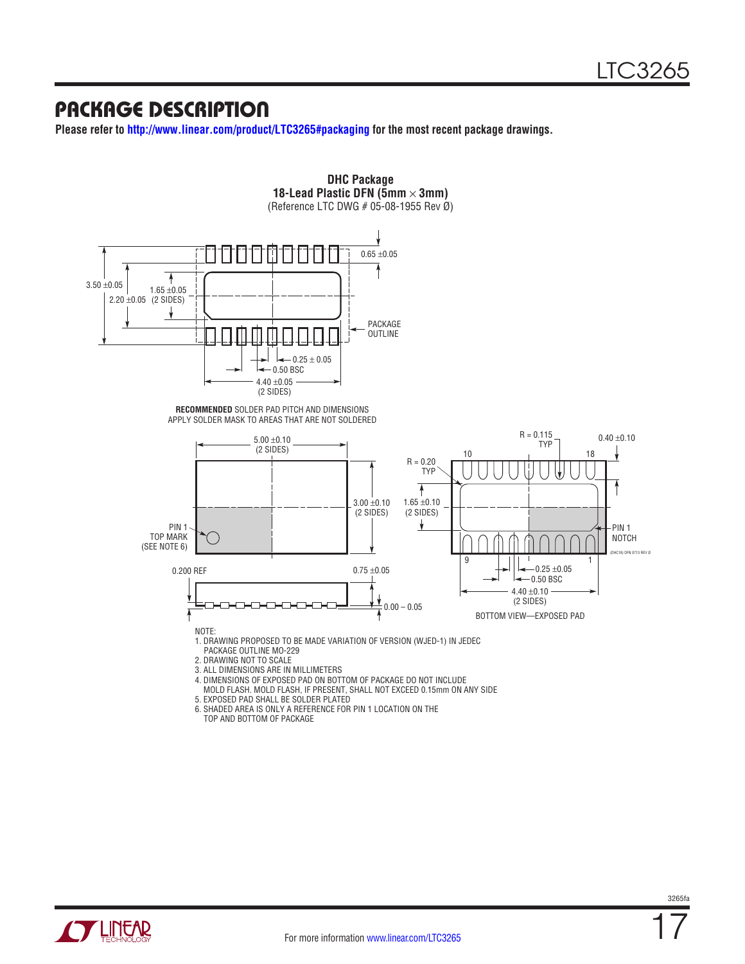## PACKAGE DESCRIPTION

**Please refer to <http://www.linear.com/product/LTC3265#packaging>for the most recent package drawings.**

![](_page_16_Figure_3.jpeg)

TOP AND BOTTOM OF PACKAGE

![](_page_16_Picture_5.jpeg)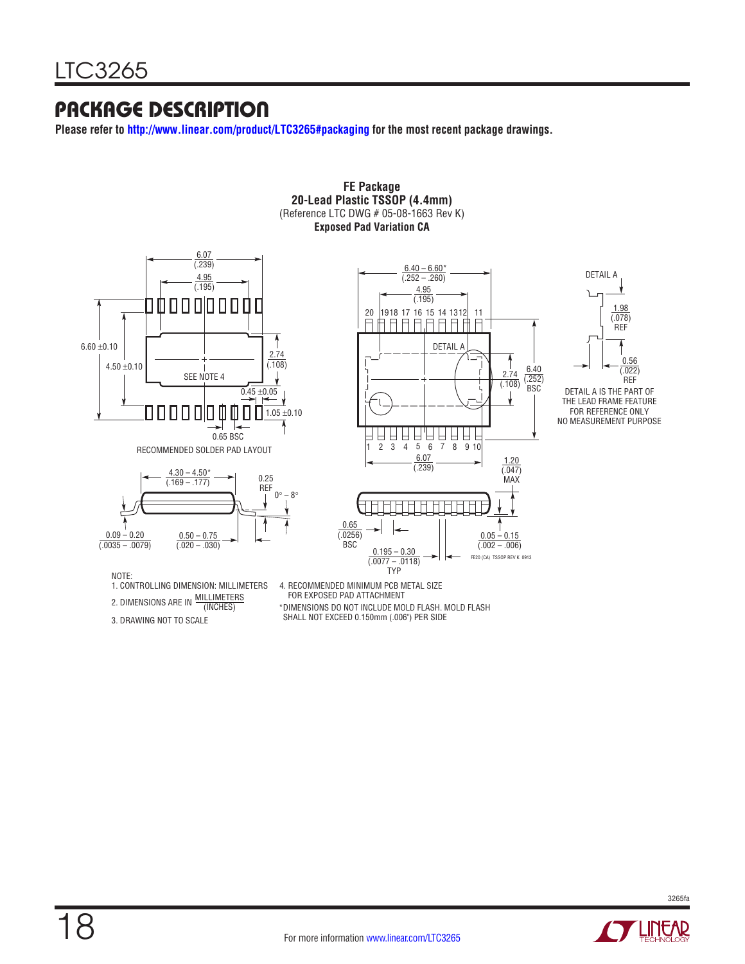# PACKAGE DESCRIPTION

**Please refer to <http://www.linear.com/product/LTC3265#packaging>for the most recent package drawings.**

![](_page_17_Figure_3.jpeg)

**20-Lead Plastic TSSOP (4.4mm)** (Reference LTC DWG # 05-08-1663 Rev K)

**FE Package**

![](_page_17_Picture_5.jpeg)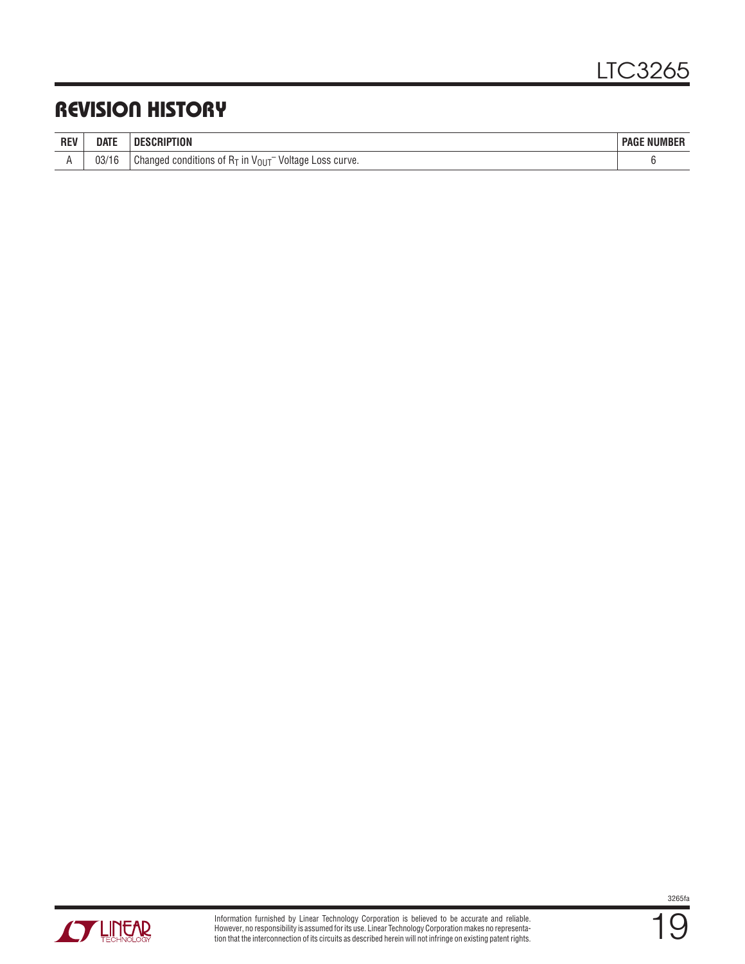# REVISION HISTORY

| <b>REV</b> | date           | <b>DESCRIPTION</b>                                                                   | <b>PAGE NUMBER</b> |
|------------|----------------|--------------------------------------------------------------------------------------|--------------------|
|            | 02/1C<br>U3/16 | ⊣т <sup>−</sup> Voltage<br>Changed conditions of $R_T$ in $V_{OUT}^-$<br>Loss curve. |                    |

![](_page_18_Picture_3.jpeg)